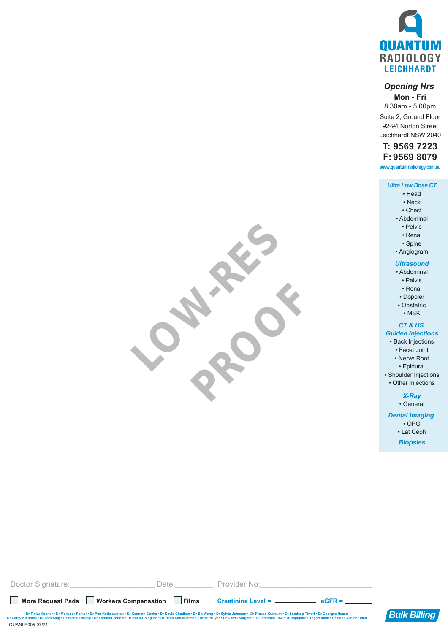

#### *Opening Hrs*

**Mon - Fri** 8.30am - 5.00pm Suite 2, Ground Floor 92-94 Norton Street Leichhardt NSW 2040

### **T: 9569 7223 F: 9569 8079**

**www.quantumradiology.com.au**

#### *Ultra Low Dose CT*

- Head
- Neck
- Chest
- Abdominal • Pelvis
	- Renal
	- Spine
- 

## • Angiogram

- *Ultrasound*
- Abdominal
	- Pelvis
	- Renal
- Doppler
- Obstetric
	- MSK

#### *CT & US*

### *Guided Injections*

- Back Injections
	- Facet Joint
	- Nerve Root
	- Epidural

• Shoulder Injections

• Other Injections

# *X-Ray*

• General *Dental Imaging* 

• OPG

• Lat Ceph *Biopsies*

QUANLE005-07/21 **More Request Pads Workers Compensation Films Creatinine Level = eGFR =** Doctor Signature: etc. All and Date: Exercise Provider No: Dr Tinku Kooner • Dr Mansoor Parker • Dr Pon Ketheswaran • Dr Kenneth Cooke • Dr David Chadban • Dr Bit Wong • Dr Sylvia Johnson • Dr Prasad Kundum • Dr Sandeep Tiwari • Dr Georges Hazan وDr Cathy Nicholas • Dr Tom Sing •

LOW-RES

PROOF